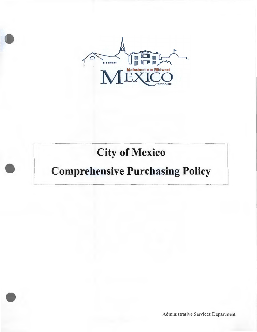

# **City of Mexico**

# **Comprehensive Purchasing Policy**

Administrative Services Department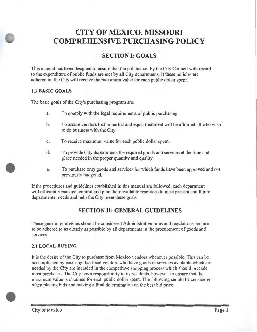# **CITY OF MEXICO, MISSOURI COMPREHENSIVE PURCHASING POLICY**

# **SECTION I: GOALS**

This manual has been designed to ensure that the policies set by the City Council with regard to the expenditure of public funds are met by all City departments. If these policies are adhered to, the City will receive the maximum value for each public dollar spent.

## **1.1 BASIC GOALS**

The basic goals of the City's purchasing program are:

- a. To comply with the legal requirements of public purchasing.
- b. To assure vendors that impartial and equal treatment will be afforded all who wish to do business with the City.
- c. To receive maximum value for each public dollar spent.
- d. To provide City departments the required goods and services at the time and place needed in the proper quantity and quality.
- e. To purchase only goods and services for which funds have been approved and not previously budgeted.

If the procedures and guidelines established in this manual are followed, each department will efficiently manage, control and plan their available resources to meet present and future departmental needs and help the City meet these goals.

# **SECTION II: GENERAL GUIDELINES**

These general guidelines should be considered Administrative rules and regulations and are to be adhered to as closely as possible by all departments in the procurement of goods and services.

## **2.1 LOCAL BUYING**

It is the desire of the City to purchase from Mexico vendors whenever possible. This can be accomplished by ensuring that local vendors who have goods or services available which are needed by the City are included in the competitive shopping process which should precede most purchases. The City has a responsibility to its residents, however, to ensure that the maximum value is obtained for each public dollar spent. The following should be considered when placing bids and making a final determination on the best bid price: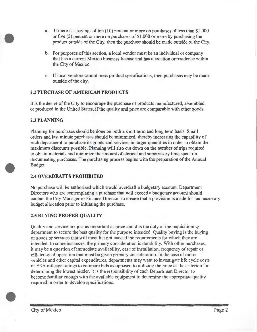- a. If there is a savings of ten  $(10)$  percent or more on purchases of less than \$1,000 or five  $(5)$  percent or more on purchases of \$1,000 or more by purchasing the product outside of the City, then the purchase should be made outside of the City.
- b. For purposes of this section, a local vendor must be an individual or company that has a current Mexico business license and has a location or residence within the City of Mexico.
- c. If local vendors cannot meet product specifications, then purchases may be made outside of the city.

## **2.2 PURCHASE OF AMERICAN PRODUCTS**

It is the desire of the City to encourage the purchase of products manufactured, assembled, or produced in the United States, if the quality and price are comparable with other goods.

## **2.3 PLANNING**

Planning for purchases should be done on both a short term and long term basis. Small orders and last minute purchases should be minimized, thereby increasing the capability of each department to purchase its goods and services in larger quantities in order to obtain the maximum discounts possible. Planning will also cut down on the number of trips required to obtain materials and minimize the amount of clerical and supervisory time spent on documenting purchases. The purchasing process begins with the preparation of the Annual Budget.

## **2.4 OVERDRAFTS PROHIBITED**

No purchase will be authorized which would overdraft a budgetary account. Department Directors who are contemplating a purchase that will exceed a budgetary account should contact the City Manager or Finance Director to ensure that a provision is made for the necessary budget allocation prior to initiating the purchase.

## 2.5 **BUYING PROPER QUALITY**

Quality and service are just as important as price and it is the duty of the requisitioning department to secure the best quality for the purpose intended. Quality buying is the buying of goods or services that will meet but not exceed the requirements for which they are intended. In some instances, the primary consideration is durability. With other purchases, it may be a question of inunediate availability, ease of installation, frequency of repair or efficiency of operation that must be given primary consideration. In the case of motor vehicles and other capital expenditures, departments may want to investigate life cycle costs or ERA mileage ratings to compare bids as opposed to utilizing the price as the criterion for determining the lowest bidder. It is the responsibility of each Department Director to become familiar enough with the available equipment to determine the appropriate quality required in order to develop specifications.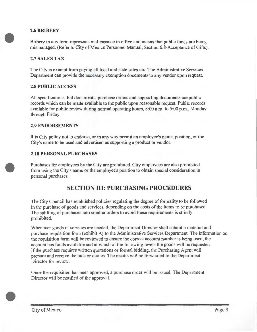## **2.6BRIBERY**

Bribery in any form represents malfeasance in office and means that public funds are being mismanaged. (Refer to City of Mexico Personnel Manual, Section 6.8-Acceptance of Gifts).

## **2. 7 SALES TAX**

The City is exempt from paying all local and state sales tax. The Administrative Services Department can provide the necessary exemption documents to any vendor upon request.

## **2.8 PUBLIC ACCESS**

All specifications, bid documents, purchase orders and supporting documents are public records which can be made available to the public upon reasonable request. Public records available for public review during normal operating hours,  $8:00$  a.m. to  $5:00$  p.m., Monday through Friday.

## **2.9 ENDORSEMENTS**

It is City policy not to endorse, or in any way permit an employee's name, position, or the City's name to be used and advertised as supporting a product or vendor.

## **2.10 PERSONAL PURCHASES**

Purchases for employees by the City are prohibited. City employees are also prohibited from using the City's name or the employee's position to obtain special consideration in personal purchases.

# **SECTION III: PURCHASING PROCEDURES**

The City Council has established policies regulating the degree of formality to be followed in the purchase of goods and services, depending on the costs of the items to be purchased. The splitting of purchases into smaller orders to avoid these requirements is strictly prohibited.

Whenever goods or services are needed, the Department Director shall submit a material and purchase requisition form (exhibit A) to the Administrative Services Department. The information on the requisition form will be reviewed to ensure the correct account number is being used, the account has funds available and at which of the following levels the goods will be requested . If the purchase requires written quotations or formal bidding, the Purchasing Agent will prepare and receive the bids or quotes. The results will be forwarded to the Department Director for review.

Once the requisition has been approved, a purchase order will be issued. The Department Director will be notified of the approval.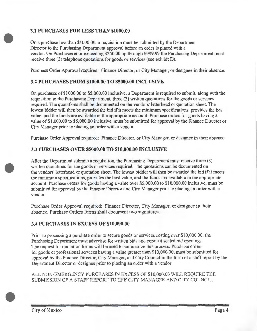## **3.1 PURCHASES FOR LESS THAN \$1000.00**

On a purchase less than \$1000.00, a requisition must be submitted by the Department Director to the Purchasing Department approval before an order is placed with a vendor. On Purchases at or exceeding \$250.00 up through \$999.99 the Purchasing Department must receive three (3) telephone quotations for goods or services (see exhibit D).

Purchase Order Approval required: Finance Director, or City Manager, or designee in their absence.

## **3.2 PURCHASES FROM \$1000.00 TO \$5000.00 INCLUSIVE**

On purchases of\$1000.00 to \$5,000.00 inclusive, a Department is required to submit, along with the requisition to the Purchasing Department, three (3) written quotations for the goods or services required. The quotations shall be documented on the vendors' letterhead or quotation sheet. The lowest bidder will then be awarded the bid if it meets the minimum specifications, provides the best value, and the funds are available in the appropriate account. Purchase orders for goods having a value of\$1,000.00 to \$5,000.00 inclusive, must be submitted for approval by the Finance Director or City Manager prior to placing an order with a vendor.

Purchase Order Approval required: Finance Director, or City Manager, or designee in their absence.

## **3.3 PURCHASES OVER \$5000.00 TO \$10,000.00 INCLUSIVE**

After the Department submits a requisition, the Purchasing Department must receive three (3) written quotations for the goods or services required. The quotations can be documented on the vendors' letterhead or quotation sheet. The lowest bidder will then be awarded the bid if it meets the minimum specifications, provides the best value, and the funds are available in the appropriate account. Purchase orders for goods having a value over \$5,000.00 to \$10,000.00 inclusive, must be submitted for approval by the Finance Director and City Manager prior to placing an order with a vendor.

Purchase Order Approval required: Finance Director, City Manager, or designee in their absence. Purchase Orders forms shall document two signatures.

## **3.4 PURCHASES IN EXCESS OF \$10,000.00**

Prior to processing a purchase order to secure goods or services costing over \$10,000.00, the Purchasing Department must advertise for written bids and conduct sealed bid openings. The request for quotation fonns will be used to summarize this process. Purchase orders for goods or professional services having a value greater than \$10,000.00, must be submitted for approval by the Finance Director, City Manager, and City Council in the form of a staff report by the Department Director or designee prior to placing an order with a vendor.

ALL NON-EMERGENCY PURCHASES IN EXCESS OF \$10,000.00 WILL REQUIRE THE SUBMISSION OF A STAFF REPORT TO THE CITY MANAGER AND CITY COUNCIL.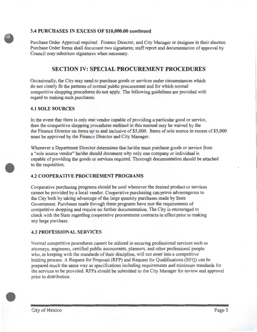## **3.4 PURCHASES IN EXCESS OF \$10,000.00 continued**

Purchase Order Approval required: Finance Director, and City Manager or designee in their absence. Purchase Order forms shall document two signatures; staff report and documentation of approval by Council may substitute signatures when necessary.

# **SECTION IV: SPECIAL PROCUREMENT PROCEDURES**

Occasionally, the City may need to purchase goods or services under circumstances which do not clearly fit the patterns of normal public procurement and for which normal competitive shopping procedures do not apply. The following guidelines are provided with regard to making such purchases.

## **4.1 SOLE SOURCES**

In the event that there is only one vendor capable of providing a particular good or service, then the competitive shopping procedures outlined in this manual may be waived by the the Finance Director on items up to and inclusive of \$5,000. Items of sole source in excess of \$5,000 must be approved by the Finance Director and City Manager.

Whenever a Department Director determines that he/she must purchase goods or service from a "sole source vendor" he/she should document why only one company or individual is capable of providing the goods or services required. Thorough documentation should be attached to the requisition.

## **4.2 COOPERATIVE PROCUREMENT PROGRAMS**

Cooperative purchasing programs should be used whenever the desired product or services cannot be provided by a local vendor. Cooperative purchasing can prove advantageous to the City both by taking advantage of the large quantity purchases made by State Government. Purchases made through these programs have met the requirements of competitive shopping and require no further documentation. The City is encouraged to check with the State regarding cooperative procurement contracts in effect prior to making any large purchase.

## **4.3 PROFESSIONAL SERVICES**

Normal competitive procedures cannot be utilized in securing professional services such as attomeys, engineers, certified public accountants, planners, and other professional people who, in keeping with the standards of their discipline, will not enter into a competitive bidding process. A Request for Proposal (RFP) and Request for Qualifications (RFQ) can be prepared much the same way as specifications including requirements and minimum standards for the services to be provided. RFPs should be submitted to the City Manager for review and approval prior to distribution.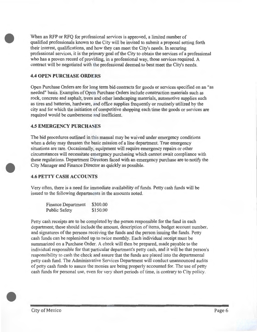When an RFP or RFQ for professional services is approved, a limited number of qualified professionals known to the City will be invited to submit a proposal setting forth their interest, qualifications, and how they can meet the City's needs. In securing professional services, it is the primary goal of the City to obtain the services of a professional who has a proven record of providing, in a professional way, those services required. A contract will be negotiated with the professional deemed to best meet the City's needs.

#### **4.4 OPEN PURCHASE ORDERS**

Open Purchase Orders are for long term bid contracts for goods or services specified on an "as needed" basis. Examples of Open Purchase Orders include construction materials such as rock, concrete and asphalt, trees and other landscaping materials, automotive supplies such as tires and batteries, hardware, and office supplies frequently or routinely utilized by the city and for which the initiation of competitive shopping each time the goods or services are required would be cumbersome and inefficient.

#### **4.5 EMERGENCY PURCHASES**

The bid procedures outlined in this manual may be waived under emergency conditions when a delay may threaten the basic mission of a line department. True emergency situations are rare. Occasionally, equipment will require emergency repairs or other circumstances will necessitate emergency purchasing which cannot await compliance with these regulations. Department Directors faced with an emergency purchase are to notify the City Manager and Finance Director as quickly as possible.

#### **4.6 PETTY CASH ACCOUNTS**

Very often, there is a need for immediate availability of funds. Petty cash funds will be issued to the following departments in the amounts noted.

| <b>Finance Department</b> | \$300.00 |
|---------------------------|----------|
| <b>Public Safety</b>      | \$150.00 |

Petty cash receipts are to be completed by the person responsible for the fund in each department; these should include the amount, description of items, budget account number, and signatures of the persons receiving the funds and the person issuing the funds. Petty cash funds can be replenished up to twice monthly. Each individual receipt must be summarized on a Purchase Order. A check will then be prepared, made payable to the individual responsible for that particular department's petty cash, and it will be that person's responsibility to cash the check and assure that the funds are placed into the departmental petty cash fund. The Administrative Services Department will conduct unannounced audits of petty cash funds to assure the monies are being properly accounted for. The use of petty cash funds for personal use, even for very short periods of time, is contrary to City policy.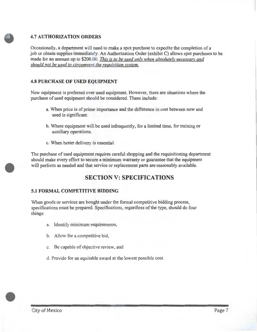## **4.7 AUTHORIZATION ORDERS**

Occasionally, a department will need to make a spot purchase to expedite the completion of a job or obtain supplies immediately. An Authorization Order (exhibit C) allows spot purchases to be made for an amount up to \$200.00. *This is to be used only when absolutely necessary and should not be used to circumvent the requisition system.* 

## **4.8 PURCHASE OF USED EQUIPMENT**

New equipment is preferred over used equipment. However, there are situations where the purchase of used equipment should be considered. These include:

- a. When price is of prime importance and the difference in cost between new and used is significant.
- b. Where equipment will be used infrequently, for a limited time, for training or auxiliary operations.
- c. When better delivery is essential.

The purchase of used equipment requires careful shopping and the requisitioning department should make every effort to secure a mirumum warranty or guarantee that the equipment will perform as needed and that service or replacement parts are reasonably available.

# **SECTION V: SPECIFICATIONS**

#### **5.1 FORMAL COMPETITIVE BIDDING**

When goods or services are bought under the formal competitive bidding process, specifications must be prepared. Specifications, regardless of the type, should do four things:

- a. Identify minimum requirements,
- b. Allow for a competitive bid,
- c. Be capable of objective review, and
- d. Provide for an equitable award at the lowest possible cost.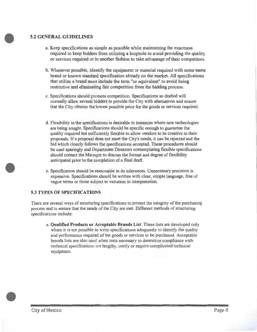## **5.2 GENERAL GUIDELINES**

- a. Keep specifications as simple as possible while maintaining the exactness required to keep bidders from utilizing a loophole to avoid providing the quality or services required or in another fashion to take advantage of their competitors.
- b. Whenever possible, identify the equipment or material required with some name brand or known standard specification already on the market. All specifications that utilize a brand must include the term "or equivalent" to avoid being restrictive and eliminating fair competition from the bidding process.
- c. Specifications should promote competition. Specifications so drafted will normally allow several bidders to provide the City with alternatives and ensure that the City obtains the lowest possible price for the goods or services required.
- d. Flexibility in the specifications is desirable in instances where new technologies are being sought. Specifications should be specific enough to guarantee the quality required but sufficiently flexible to allow vendors to be creative in their proposals. If a proposal does not meet the City's needs, it can be rejected and the bid which closely follows the specifications accepted. These procedures should be used sparingly and Department Directors contemplating flexible specifications should contact the Manager to discuss the format and degree of flexibility anticipated prior to the completion of a final draft.
- e. Specification should be reasonable in its tolerances. Unnecessary precision is expensive. Specifications should be written with clear, simple language, free of vague terms or those subject to variation in interpretation.

#### **5.3 TYPES OF SPECIFICATIONS**

There are several ways of structuring specifications to protect the integrity of the purchasing process and to ensure that the needs of the City are met. Different methods of structuring specifications include:

a. **Qualified Products or Acceptable Brands List.** These lists are developed only where it is not possible to write specifications adequately to identify the quality and performance required of the goods or services to be purchased. Acceptable brands lists are also used when tests necessary to detennine compliance with teclmical specifications are lengthy, costly or require complicated teclmical equipment.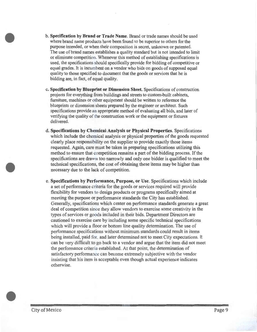- b. **Specification by Brand or Trade Name.** Brand or trade names should be used where brand name products have been found to be superior to others for the purpose intended, or when their composition is secret, unknown or patented. The use of brand names establishes a quality standard but is not intended to limit or eliminate competition. Whenever this method of establishing specifications is used, the specifications should specifically provide for bidding of competitive or equal grades. It is incumbent on a vendor who bids on goods of supposed equal quality to those specified to document that the goods or services that he is bidding are, in fact, of equal quality.
- c. **Specification by Blueprint or Dimension Sheet.** Specifications of construction projects for everything from buildings and streets to custom-built cabinets, furniture, machines or other equipment should be written to reference the blueprints or dimension sheets prepared by the engineer or architect. Such specifications provide an appropriate method of evaluating all bids, and later of verifying the quality of the construction work or the equipment or fixtures delivered.
- d. **Specifications by Chemical Analysis or Physical Properties.** Specifications which include the chemical analysis or physical properties of the goods requested clearly place responsibility on the supplier to provide exactly those items requested. Again, care must be taken in preparing specifications utilizing this method to ensure that competition remains a part of the bidding process. If the specifications are drawn too narrowly and only one bidder is qualified to meet the technical specifications, the cost of obtaining these items may be higher than necessary due to the lack of competition.
- e. **Specifications by Performance, Purpose, or Use.** Specifications which include a set of performance criteria for the goods or services required will provide flexibility for vendors to design products or programs specifically aimed at meeting the purpose or performance standards the City has established. Generally, specifications which center on performance standards generate a great deal of competition since they allow vendors to exercise some creativity in the types of services or goods included in their bids. Department Directors are cautioned to exercise care by including some specific technical specifications which will provide a floor or bottom line quality determination. The use of performance specifications without minimum standards could result in items being installed, paid for, and later determined not to meet City expectations. It can be very difficult to go back to a vendor and argue that the item did not meet the performance criteria established. At that point, the determination of satisfactory performance can become extremely subjective with the vendor insisting that his item is acceptable even though actual experience indicates otherwise.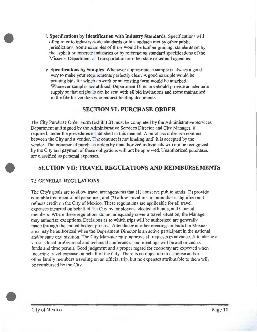- **f. Specifications by Identification with Industry Standards.** Specifications will often refer to industry-wide standards or to standards met by other public jurisdictions. Some examples of these would be lumber grading, standards set by the asphalt or concrete industries or by referencing standard specifications of the Missouri Department of Transportation or other state or federal agencies.
- g. **Specifications by Samples.** Whenever appropriate, a sample is always a good way to make your requirements perfectly clear. A good example would be printing bids for which artwork or an existing form would be attached. Whenever samples are utilized, Department Directors should provide an adequate supply so that originals can be sent with all bid invitations and some maintained in the file for vendors who request bidding documents.

## **SECTION VI: PURCHASE ORDER**

The City Purchase Order Form (exhibit B) must be completed by the Administrative Services Department and signed by the Administrative Services Director and City Manager, if required, under the procedures established in this manual. A purchase order is a contract between the City and a vendor. The contract is not binding until it is accepted by the vendor. The issuance of purchase orders by unauthorized individuals will not be recognized by the City and payment of these obligations will not be approved. Unauthorized purchases are classified as personal expenses.

# **SECTION VII: TRAVEL REGULATIONS AND REIMBURSEMENTS**

## **7.1 GENERAL REGULATIONS**

The City's goals are to allow travel arrangements that  $(1)$  conserve public funds,  $(2)$  provide equitable treatment of all personnel, and (3) allow travel in a manner that is dignified and reflects credit on the City of Mexico. These regulations are applicable for all travel expenses incuned on behalf of the City by employees, elected officials, and Council members. Where these regulations do not adequately cover a travel situation, the Manager may authorize exceptions. Decisions as to which trips will be authorized are generally made through the annual budget process. Attendance at other meetings outside the Mexico area may be authorized when the Department Director is an active participant in the national and/or state organization. The City Manager must approve all requests in advance. Attendance at various local professional and technical conferences and meetings will be authorized as funds and time permit. Good judgment and a proper regard for economy are expected when incurring travel expense on behalf of the City. There is no objection to a spouse and/or other family members traveling on an official trip, but no expenses attributable to them will be reimbursed by the City.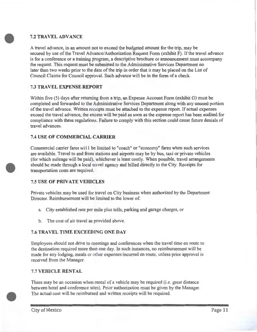## **7.2 TRAVEL ADVANCE**

A travel advance, in an amount not to exceed the budgeted amount for the trip, may be secured by use of the Travel Advance/Authorization Request Form (exhibit F). If the travel advance is for a conference or a training program, a descriptive brochure or announcement must accompany the request. This request must be submitted to the Administrative Services Department no later than two weeks prior to the date of the trip in order that it may be placed on the List of Council Claims for Council approval. Such advance will be in the form of a check.

## 7.3 **TRAVEL EXPENSE REPORT**

Within five (5) days after returning from a trip, an Expense Account Form (exhibit G) must be completed and forwarded to the Administrative Services Department along with any unused portion of the travel advance. Written receipts must be attached to the expense report. If actual expenses exceed the travel advance, the excess will be paid as soon as the expense report has been audited for compliance with these regulations. Failure to comply with this section could cause future denials of travel advances.

## **7.4 USE OF COMMERCIAL CARRIER**

Commercial carrier fares will be limited to "coach" or "economy" fares when such services are available. Travel to and from stations and airports may be by bus, taxi or private vehicles (for which mileage will be paid), whichever is least costly. When possible, travel arrangements should be made through a local travel agency and billed directly to the City. Receipts for transportation costs are required.

## 7.5 **USE OF PRIVATE VEHICLES**

Private vehicles may be used for travel on City business when authorized by the Department Director. Reimbursement will be limited to the lower of:

- a. City established rate per mile plus tolls, parking and garage charges, or
- b. The cost of air travel as provided above.

## 7.6 **TRAVELTIME EXCEEDING ONE DAY**

Employees should not drive to meetings and conferences when the travel time en route to the destination required more than one day. In such instances, no reimbursement will be made for any lodging, meals or other expenses incurred en route, unless prior approval is received from the Manager.

## 7.7 **VEHICLE RENTAL**

There may be an occasion when rental of a vehicle may be required (i .e. great distance between hotel and conference sites). Prior authorization must be given by the Manager. The actual cost will be reimbursed and written receipts will be required.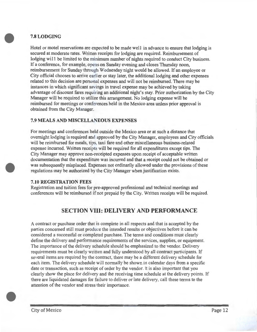## **7.8LODGING**

Hotel or motel reservations are expected to be made well in advance to ensure that lodging is secured at moderate rates. Written receipts for lodging are required. Reimbursement of lodging will be limited to the minimum number of nights required to conduct City business. If a conference, for example, opens on Sunday evening and closes Thursday noon, reimbursement for Sunday through Wednesday night would be allowed. If an employee or City official chooses to arrive earlier or stay later, the additional lodging and other expenses related to this decision are personal expenses and will not be reimbursed. There may be instances in which significant savings in travel expense may be achieved by taking advantage of discount fares requiring an additional night's stay. Prior authorization by the City Manager will be required to utilize this arrangement. No lodging expense will be reimbursed for meetings or conferences held in the Mexico area unless prior approval is obtained from the City Manager.

## 7.9 **MEALS AND MISCELLANEOUS EXPENSES**

For meetings and conferences held outside the Mexico area or at such a distance that overnight lodging is required and approved by the City Manager, employees and City officials will be reimbursed for meals, tips, taxi fare and other miscellaneous business-related expense incurred. Written receipts will be required for all expenditures except tips. The City Manager may approve non-receipted expenses upon receipt of acceptable written documentation that the expenditure was incurred and that a receipt could not be obtained or was subsequently misplaced. Expenses not ordinarily allowed under the provisions of these regulations may be authorized by the City Manager when justification exists.

## **7.10 REGISTRATION FEES**

Registration and tuition fees for pre-approved professional and technical meetings and conferences will be reimbursed if not prepaid by the City. Written receipts will be required.

# **SECTION VIII: DELIVERY AND PERFORMANCE**

A contract or purchase order that is complete in all respects and that is accepted by the parties concerned still must produce the intended results or objectives before it can be considered a successful or completed purchase. The terms and conditions must clearly define the delivery and performance requirements of the services, supplies, or equipment. The importance of the delivery schedule should be emphasized to the vendor. Delivery requirements must be clearly written and fully understood by all contract participants. If several items are required by the contract, there may be a different delivery schedule for each item. The delivery schedule will normally be shown in calendar days from a specific date or transaction, such as receipt of order by the vendor. It is also important that you clearly show the place for delivery and the receiving time schedule at the delivery points. If there are liquidated damages for failure to deliver or late delivery, call these tetms to the attention of the vendor and stress their importance.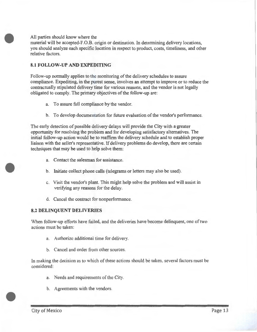#### All parties should know where the

material will be accepted-F.O.B. origin or destination. In determining delivery locations, you should analyze each specific location in respect to product, costs, timeliness, and other relative factors.

#### **8.1 FOLLOW-UP AND EXPEDITING**

Follow-up normally applies to the monitoring of the delivery schedules to assure compliance. Expediting, in the purest sense, involves an attempt to improve or to reduce the contractually stipulated delivery time for various reasons, and the vendor is not legally obligated to comply. The primary objectives of the follow-up are:

- a. To assure full compliance by the vendor.
- b. To develop documentation for future evaluation of the vendor's performance.

The early detection of possible delivery delays will provide the City with a greater opportunity for resolving the problem and for developing satisfactory alternatives. The initial follow-up action would be to reaffirm the delivery schedule and to establish proper liaison with the seller's representative. If delivery problems do develop, there are certain techniques that may be used to help solve them:

- a. Contact the salesman for assistance.
- b. Initiate collect phone calls (telegrams or letters may also be used).
- c. Visit the vendor's plant. This might help solve the problem and will assist in verifying any reasons for the delay.
- d. Cancel the contract for nonperformance.

## 8.2 **DELINQUENT DELIVERIES**

When follow-up efforts have failed, and the deliveries have become delinquent, one of two actions must be taken:

- a. Authorize additional time for delivery.
- b. Cancel and order from other sources.

In making the decision as to which of these actions should be taken, several factors must be considered:

- a. Needs and requirements of the City.
- b. Agreements with the vendors.

l

I

I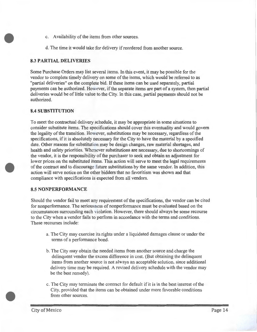- c. Availability of the items from other sources.
- d. The time it would take for delivery if reordered from another source.

## 8.3 **PARTIAL DELIVERIES**

Some Purchase Orders may list several items. In this event, it may be possible for the vendor to complete timely delivery on some of the items, which would be referred to as "partial deliveries" on the complete bid. If these items can be used separately, partial payments can be authorized. However, if the separate items are part of a system, then partial deliveries would be of little value to the City. In this case, partial payments should not be authorized.

## **8.4 SUBSTITUTION**

To meet the contractual delivery schedule, it may be appropriate in some situations to consider substitute items. The specifications should cover this eventuality and would govern the legality of the transition. However, substitutions may be necessary, regardless of the specifications, if it is absolutely necessary for the City to have the material by a specified date. Other reasons for substitution may be design changes, raw material shortages, and health and safety priorities. Whenever substitutions are necessary, due to shortcomings of the vendor, it is the responsibility of the purchaser to seek and obtain an adjustment for lower prices on the substituted items. This action will serve to meet the legal requirements of the contract and to discourage future substitutions by the same vendor. In addition, this action will serve notice on the other bidders that no favoritism was shown and that compliance with specifications is expected from all vendors.

## **8.5 NONPERFORMANCE**

Should the vendor fail to meet any requirement of the specifications, the vendor can be cited for nonperformance. The seriousness of nonperformance must be evaluated based on the circumstances surrounding each violation. However, there should always be some recourse to the City when a vendor fails to perform in accordance with the terms and conditions. These recourses include:

- a. The City may exercise its rights under a liquidated damages clause or under the terms of a performance bond.
- b. The City may obtain the needed items from another source and charge the delinquent vendor the excess difference in cost. (But obtaining the delinquent items from another source is not always an acceptable solution, since additional delivery time may be required. A revised delivery schedule with the vendor may be the best remedy).
- c. The City may terminate the contract for default if it is in the best interest of the City, provided that the items can be obtained under more favorable conditions from other sources.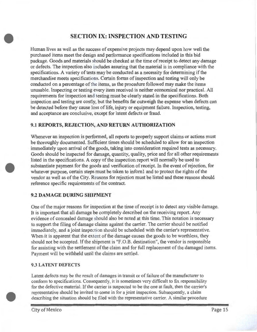# **SECTION IX: INSPECTION AND TESTING**

Human lives as well as the success of expensive projects may depend upon how well the purchased items meet the design and performance specifications included in this bid package. Goods and materials should be checked at the time of receipt to detect any damage or defects. The inspection also includes assuring that the material is in compliance with the specifications. A variety of tests may be conducted as a necessity for determining if the merchandise meets specifications. Certain forms of inspection and testing will only be conducted on a percentage of the items, as the procedure followed may make the items unusable. Inspecting or testing every item received is neither economical nor practical. All requirements for inspection and testing must be clearly stated in the specifications. Both inspection and testing are costly, but the benefits far outweigh the expense when defects can be detected before they cause loss of life, injury or equipment failure. Inspection, testing, and acceptance are conclusive, except for latent defects or fraud.

## **9.1 REPORTS, REJECTION, AND RETURN AUTHORIZATION**

Whenever an inspection is performed, all reports to properly support claims or actions must be thoroughly documented. Sufficient times should be scheduled to allow for an inspection immediately upon arrival of the goods, taking into consideration required tests as necessary. Goods should be inspected for damage, quantity, quality, price and for all other requirements listed in the specifications. A copy of the inspection report will normally be used to substantiate payment for the goods and verification of receipt. In the event of rejection, for whatever purpose, certain steps must be taken to infoml and to protect the rights of the vendor as well as of the City. Reasons for rejection must be listed and these reasons should reference specific requirements of the contract.

## **9.2 DAMAGE DURING SHIPMENT**

One of the major reasons for inspection at the time of receipt is to detect any visible damage. It is important that all damage be completely described on the receiving report. Any evidence of concealed damage should also be noted at this time. This notation is necessary to support the filing of damage claims against the carrier. The carrier should be notified immediately, and a joint inspection should be scheduled with the carrier's representative. When it is apparent that the extent of the damage causes the goods to be worthless, they should not be accepted. If the shipment is "F.O.B. destination" , the vendor is responsible for assisting with the settlement of the claim and for full replacement of the damaged items. Payment will be withheld until the claims are settled.

## 9.3 **LATENT DEFECTS**

Latent defects may be the result of damages in transit or of failure of the manufacturer to conform to specifications. Consequently, it is sometimes very difficult to fix responsibility for the defective material. If the carrier is suspected to be the one at fault, then the carrier's representative should be invited to come in for a joint inspection. Subsequently, a claim describing the situation should be filed with the representative carrier. A similar procedure

City of Mexico Page 15